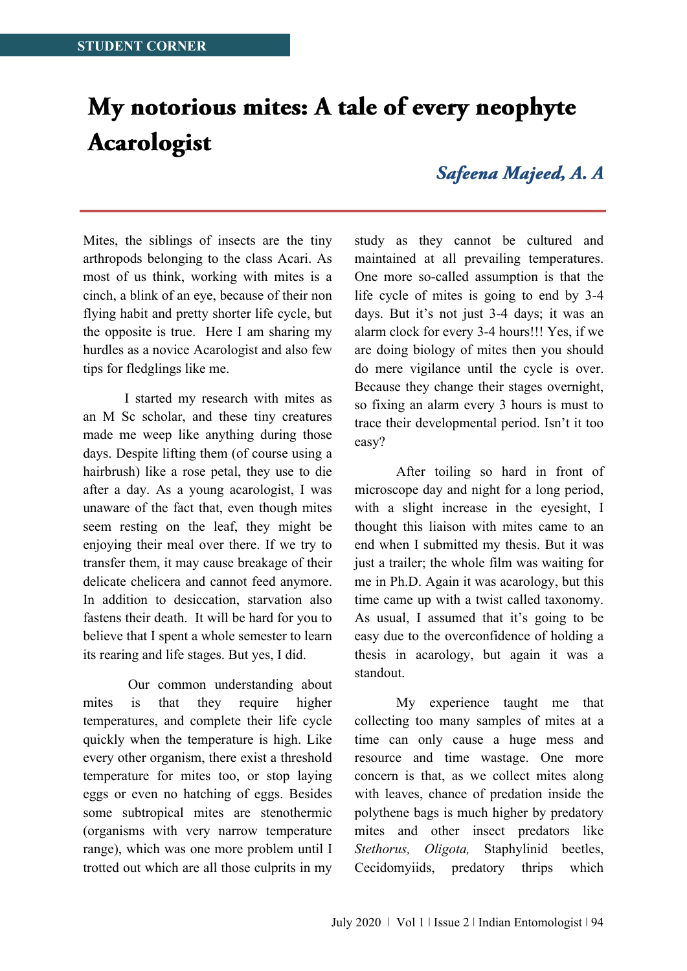## My notorious mites: A tale of every neophyte **Acarologist**

## Safeena Majeed, A. A

Mites, the siblings of insects are the tiny arthropods belonging to the class Acari. As most of us think, working with mites is a cinch, a blink of an eye, because of their non flying habit and pretty shorter life cycle, but the opposite is true. Here I am sharing my hurdles as a novice Acarologist and also few tips for fledglings like me.

I started my research with mites as an M Sc scholar, and these tiny creatures made me weep like anything during those days. Despite lifting them (of course using a hairbrush) like a rose petal, they use to die after a day. As a young acarologist, I was unaware of the fact that, even though mites seem resting on the leaf, they might be enjoying their meal over there. If we try to transfer them, it may cause breakage of their delicate chelicera and cannot feed anymore. In addition to desiccation, starvation also fastens their death. It will be hard for you to believe that I spent a whole semester to learn its rearing and life stages. But yes, I did.

Our common understanding about mites is that they require higher temperatures, and complete their life cycle quickly when the temperature is high. Like every other organism, there exist a threshold temperature for mites too, or stop laying eggs or even no hatching of eggs. Besides some subtropical mites are stenothermic (organisms with very narrow temperature range), which was one more problem until I trotted out which are all those culprits in my study as they cannot be cultured and maintained at all prevailing temperatures. One more so-called assumption is that the life cycle of mites is going to end by 3-4 days. But it's not just 3-4 days; it was an alarm clock for every 3-4 hours!!! Yes, if we are doing biology of mites then you should do mere vigilance until the cycle is over. Because they change their stages overnight, so fixing an alarm every 3 hours is must to trace their developmental period. Isn't it too easy?

After toiling so hard in front of microscope day and night for a long period, with a slight increase in the eyesight, I thought this liaison with mites came to an end when I submitted my thesis. But it was just a trailer; the whole film was waiting for me in Ph.D. Again it was acarology, but this time came up with a twist called taxonomy. As usual, I assumed that it's going to be easy due to the overconfidence of holding a thesis in acarology, but again it was a standout.

My experience taught me that collecting too many samples of mites at a time can only cause a huge mess and resource and time wastage. One more concern is that, as we collect mites along with leaves, chance of predation inside the polythene bags is much higher by predatory mites and other insect predators like *Stethorus, Oligota,* Staphylinid beetles, Cecidomyiids, predatory thrips which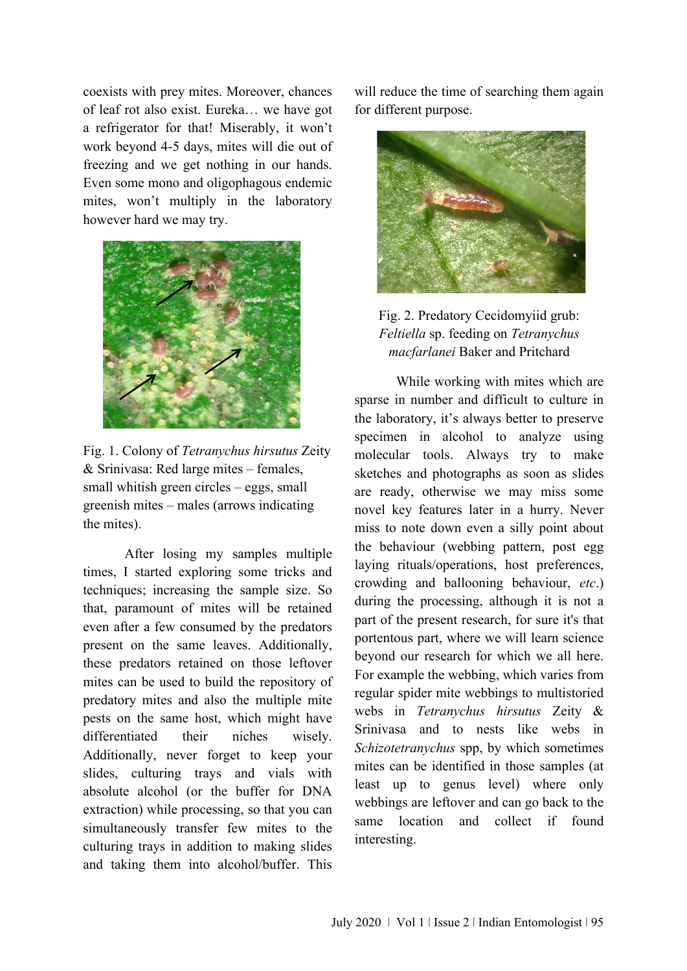coexists with prey mites. Moreover, chances of leaf rot also exist. Eureka… we have got a refrigerator for that! Miserably, it won't work beyond 4-5 days, mites will die out of freezing and we get nothing in our hands. Even some mono and oligophagous endemic mites, won't multiply in the laboratory however hard we may try.



Fig. 1. Colony of *Tetranychus hirsutus* Zeity & Srinivasa: Red large mites – females, small whitish green circles – eggs, small greenish mites – males (arrows indicating the mites).

After losing my samples multiple times, I started exploring some tricks and techniques; increasing the sample size. So that, paramount of mites will be retained even after a few consumed by the predators present on the same leaves. Additionally, these predators retained on those leftover mites can be used to build the repository of predatory mites and also the multiple mite pests on the same host, which might have differentiated their niches wisely. Additionally, never forget to keep your slides, culturing trays and vials with absolute alcohol (or the buffer for DNA extraction) while processing, so that you can simultaneously transfer few mites to the culturing trays in addition to making slides and taking them into alcohol/buffer. This

will reduce the time of searching them again for different purpose.



Fig. 2. Predatory Cecidomyiid grub: *Feltiella* sp. feeding on *Tetranychus macfarlanei* Baker and Pritchard

While working with mites which are sparse in number and difficult to culture in the laboratory, it's always better to preserve specimen in alcohol to analyze using molecular tools. Always try to make sketches and photographs as soon as slides are ready, otherwise we may miss some novel key features later in a hurry. Never miss to note down even a silly point about the behaviour (webbing pattern, post egg laying rituals/operations, host preferences, crowding and ballooning behaviour, *etc*.) during the processing, although it is not a part of the present research, for sure it's that portentous part, where we will learn science beyond our research for which we all here. For example the webbing, which varies from regular spider mite webbings to multistoried webs in *Tetranychus hirsutus* Zeity & Srinivasa and to nests like webs in *Schizotetranychus* spp, by which sometimes mites can be identified in those samples (at least up to genus level) where only webbings are leftover and can go back to the same location and collect if found interesting.